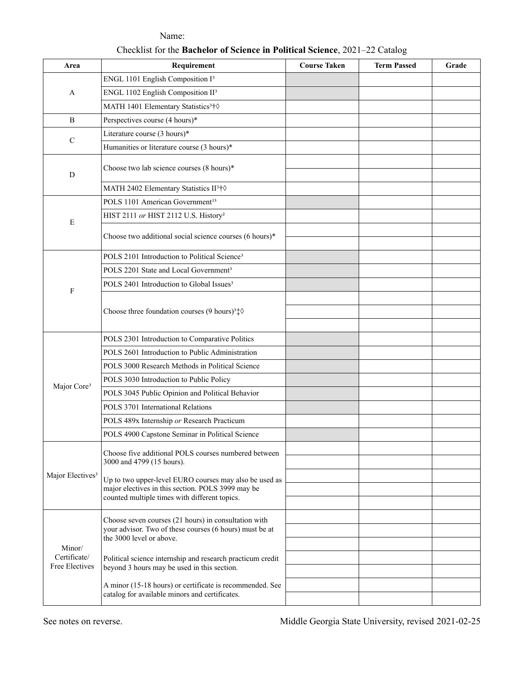| Area                                     | Requirement                                                                                                                                                  | <b>Course Taken</b> | <b>Term Passed</b> | Grade |
|------------------------------------------|--------------------------------------------------------------------------------------------------------------------------------------------------------------|---------------------|--------------------|-------|
| A                                        | ENGL 1101 English Composition I <sup>3</sup>                                                                                                                 |                     |                    |       |
|                                          | ENGL 1102 English Composition II <sup>3</sup>                                                                                                                |                     |                    |       |
|                                          | MATH 1401 Elementary Statistics <sup>3</sup> †0                                                                                                              |                     |                    |       |
| B                                        | Perspectives course (4 hours)*                                                                                                                               |                     |                    |       |
| $\mathcal{C}$                            | Literature course (3 hours)*                                                                                                                                 |                     |                    |       |
|                                          | Humanities or literature course (3 hours)*                                                                                                                   |                     |                    |       |
| D                                        | Choose two lab science courses (8 hours)*                                                                                                                    |                     |                    |       |
|                                          | MATH 2402 Elementary Statistics II <sup>3</sup> †0                                                                                                           |                     |                    |       |
| E                                        | POLS 1101 American Government <sup>13</sup>                                                                                                                  |                     |                    |       |
|                                          | HIST 2111 or HIST 2112 U.S. History <sup>2</sup>                                                                                                             |                     |                    |       |
|                                          | Choose two additional social science courses (6 hours)*                                                                                                      |                     |                    |       |
| $\rm F$                                  | POLS 2101 Introduction to Political Science <sup>3</sup>                                                                                                     |                     |                    |       |
|                                          | POLS 2201 State and Local Government <sup>3</sup>                                                                                                            |                     |                    |       |
|                                          | POLS 2401 Introduction to Global Issues <sup>3</sup>                                                                                                         |                     |                    |       |
|                                          | Choose three foundation courses (9 hours) <sup>3</sup> $\updownarrow \Diamond$                                                                               |                     |                    |       |
|                                          |                                                                                                                                                              |                     |                    |       |
| Major Core <sup>3</sup>                  | POLS 2301 Introduction to Comparative Politics                                                                                                               |                     |                    |       |
|                                          | POLS 2601 Introduction to Public Administration                                                                                                              |                     |                    |       |
|                                          | POLS 3000 Research Methods in Political Science                                                                                                              |                     |                    |       |
|                                          | POLS 3030 Introduction to Public Policy                                                                                                                      |                     |                    |       |
|                                          | POLS 3045 Public Opinion and Political Behavior                                                                                                              |                     |                    |       |
|                                          | POLS 3701 International Relations                                                                                                                            |                     |                    |       |
|                                          | POLS 489x Internship or Research Practicum                                                                                                                   |                     |                    |       |
|                                          | POLS 4900 Capstone Seminar in Political Science                                                                                                              |                     |                    |       |
| Major Electives <sup>3</sup>             | Choose five additional POLS courses numbered between<br>3000 and 4799 (15 hours).                                                                            |                     |                    |       |
|                                          |                                                                                                                                                              |                     |                    |       |
|                                          | Up to two upper-level EURO courses may also be used as<br>major electives in this section. POLS 3999 may be<br>counted multiple times with different topics. |                     |                    |       |
|                                          |                                                                                                                                                              |                     |                    |       |
|                                          |                                                                                                                                                              |                     |                    |       |
| Minor/<br>Certificate/<br>Free Electives | Choose seven courses (21 hours) in consultation with<br>your advisor. Two of these courses (6 hours) must be at<br>the 3000 level or above.                  |                     |                    |       |
|                                          |                                                                                                                                                              |                     |                    |       |
|                                          | Political science internship and research practicum credit<br>beyond 3 hours may be used in this section.                                                    |                     |                    |       |
|                                          |                                                                                                                                                              |                     |                    |       |
|                                          | A minor (15-18 hours) or certificate is recommended. See<br>catalog for available minors and certificates.                                                   |                     |                    |       |
|                                          |                                                                                                                                                              |                     |                    |       |

Name: Checklist for the **Bachelor of Science in Political Science**, 2021–22 Catalog